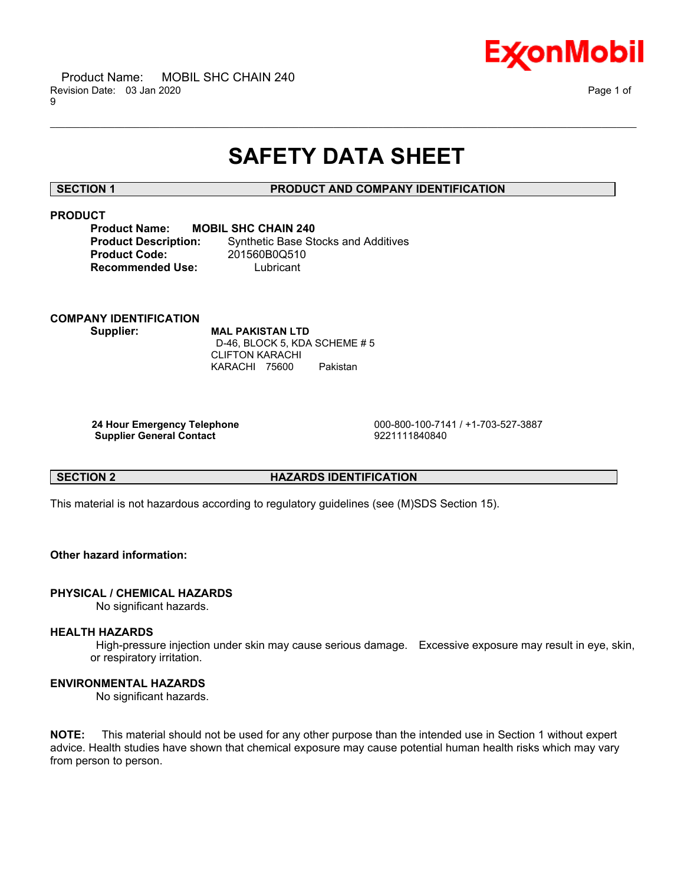

# **SAFETY DATA SHEET**

\_\_\_\_\_\_\_\_\_\_\_\_\_\_\_\_\_\_\_\_\_\_\_\_\_\_\_\_\_\_\_\_\_\_\_\_\_\_\_\_\_\_\_\_\_\_\_\_\_\_\_\_\_\_\_\_\_\_\_\_\_\_\_\_\_\_\_\_\_\_\_\_\_\_\_\_\_\_\_\_\_\_\_\_\_\_\_\_\_\_\_\_\_\_\_\_\_\_\_\_\_\_\_\_\_\_\_\_\_\_\_\_\_\_\_\_\_\_

# **SECTION 1 PRODUCT AND COMPANY IDENTIFICATION**

# **PRODUCT**

| <b>Product Name:</b>        | <b>MOBIL SHC CHAIN 240</b>                 |
|-----------------------------|--------------------------------------------|
| <b>Product Description:</b> | <b>Synthetic Base Stocks and Additives</b> |
| <b>Product Code:</b>        | 201560B0Q510                               |
| <b>Recommended Use:</b>     | Lubricant                                  |

# **COMPANY IDENTIFICATION Supplier: MAL PAKISTAN LTD**

 D-46, BLOCK 5, KDA SCHEME # 5 CLIFTON KARACHI KARACHI 75600 Pakistan

**Supplier General Contact** 9221111840840

 **24 Hour Emergency Telephone** 000-800-100-7141 / +1-703-527-3887

# **SECTION 2 HAZARDS IDENTIFICATION**

This material is not hazardous according to regulatory guidelines (see (M)SDS Section 15).

# **Other hazard information:**

# **PHYSICAL / CHEMICAL HAZARDS**

No significant hazards.

# **HEALTH HAZARDS**

 High-pressure injection under skin may cause serious damage. Excessive exposure may result in eye, skin, or respiratory irritation.

# **ENVIRONMENTAL HAZARDS**

No significant hazards.

**NOTE:** This material should not be used for any other purpose than the intended use in Section 1 without expert advice. Health studies have shown that chemical exposure may cause potential human health risks which may vary from person to person.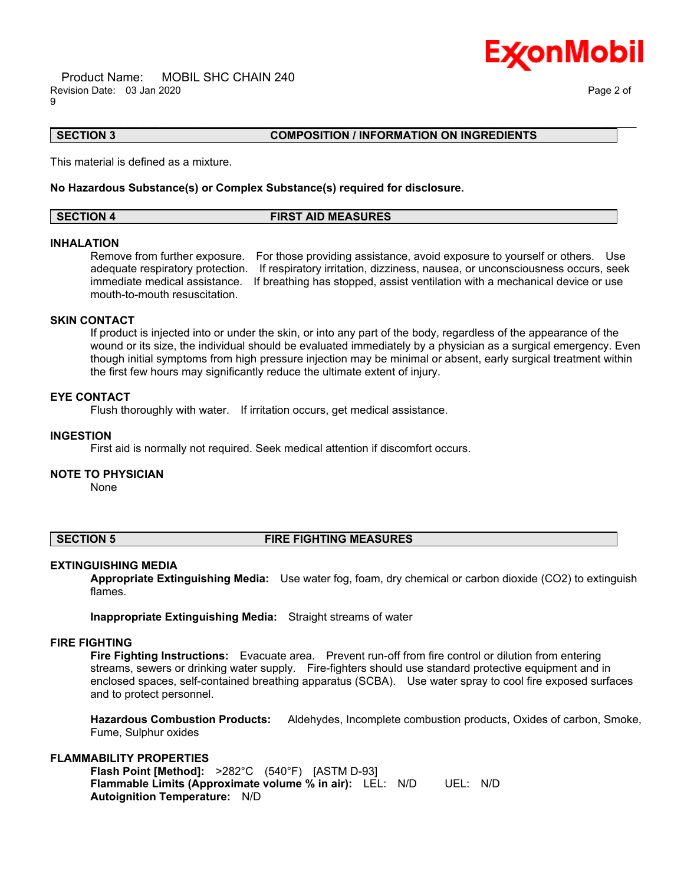Product Name: MOBIL SHC CHAIN 240 Revision Date: 03 Jan 2020 Page 2 of 9



# **SECTION 3 COMPOSITION / INFORMATION ON INGREDIENTS**

This material is defined as a mixture.

#### **No Hazardous Substance(s) or Complex Substance(s) required for disclosure.**

| <b>SECTION 4</b> | <b>FIRST AID MEASURES</b> |  |
|------------------|---------------------------|--|

\_\_\_\_\_\_\_\_\_\_\_\_\_\_\_\_\_\_\_\_\_\_\_\_\_\_\_\_\_\_\_\_\_\_\_\_\_\_\_\_\_\_\_\_\_\_\_\_\_\_\_\_\_\_\_\_\_\_\_\_\_\_\_\_\_\_\_\_\_\_\_\_\_\_\_\_\_\_\_\_\_\_\_\_\_\_\_\_\_\_\_\_\_\_\_\_\_\_\_\_\_\_\_\_\_\_\_\_\_\_\_\_\_\_\_\_\_\_

#### **INHALATION**

Remove from further exposure. For those providing assistance, avoid exposure to yourself or others. Use adequate respiratory protection. If respiratory irritation, dizziness, nausea, or unconsciousness occurs, seek immediate medical assistance. If breathing has stopped, assist ventilation with a mechanical device or use mouth-to-mouth resuscitation.

# **SKIN CONTACT**

If product is injected into or under the skin, or into any part of the body, regardless of the appearance of the wound or its size, the individual should be evaluated immediately by a physician as a surgical emergency. Even though initial symptoms from high pressure injection may be minimal or absent, early surgical treatment within the first few hours may significantly reduce the ultimate extent of injury.

### **EYE CONTACT**

Flush thoroughly with water. If irritation occurs, get medical assistance.

#### **INGESTION**

First aid is normally not required. Seek medical attention if discomfort occurs.

#### **NOTE TO PHYSICIAN**

None

#### **SECTION 5 FIRE FIGHTING MEASURES**

#### **EXTINGUISHING MEDIA**

**Appropriate Extinguishing Media:** Use water fog, foam, dry chemical or carbon dioxide (CO2) to extinguish flames.

**Inappropriate Extinguishing Media:** Straight streams of water

#### **FIRE FIGHTING**

**Fire Fighting Instructions:** Evacuate area. Prevent run-off from fire control or dilution from entering streams, sewers or drinking water supply. Fire-fighters should use standard protective equipment and in enclosed spaces, self-contained breathing apparatus (SCBA). Use water spray to cool fire exposed surfaces and to protect personnel.

**Hazardous Combustion Products:** Aldehydes, Incomplete combustion products, Oxides of carbon, Smoke, Fume, Sulphur oxides

### **FLAMMABILITY PROPERTIES**

**Flash Point [Method]:** >282°C (540°F) [ASTM D-93] **Flammable Limits (Approximate volume % in air):** LEL: N/D UEL: N/D **Autoignition Temperature:** N/D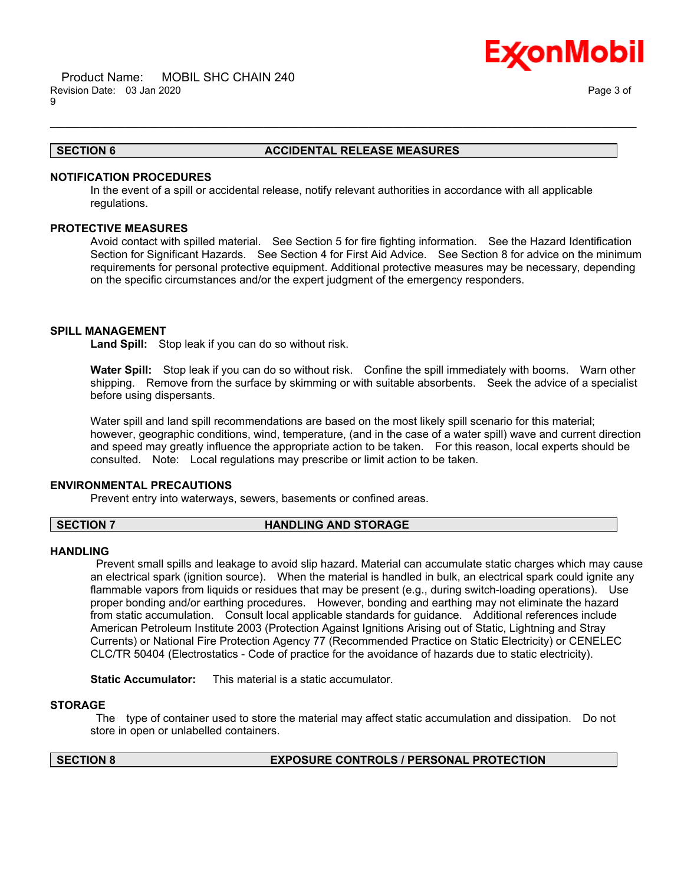

#### **SECTION 6 ACCIDENTAL RELEASE MEASURES**

# **NOTIFICATION PROCEDURES**

In the event of a spill or accidental release, notify relevant authorities in accordance with all applicable regulations.

\_\_\_\_\_\_\_\_\_\_\_\_\_\_\_\_\_\_\_\_\_\_\_\_\_\_\_\_\_\_\_\_\_\_\_\_\_\_\_\_\_\_\_\_\_\_\_\_\_\_\_\_\_\_\_\_\_\_\_\_\_\_\_\_\_\_\_\_\_\_\_\_\_\_\_\_\_\_\_\_\_\_\_\_\_\_\_\_\_\_\_\_\_\_\_\_\_\_\_\_\_\_\_\_\_\_\_\_\_\_\_\_\_\_\_\_\_\_

# **PROTECTIVE MEASURES**

Avoid contact with spilled material. See Section 5 for fire fighting information. See the Hazard Identification Section for Significant Hazards. See Section 4 for First Aid Advice. See Section 8 for advice on the minimum requirements for personal protective equipment. Additional protective measures may be necessary, depending on the specific circumstances and/or the expert judgment of the emergency responders.

### **SPILL MANAGEMENT**

**Land Spill:** Stop leak if you can do so without risk.

**Water Spill:** Stop leak if you can do so without risk. Confine the spill immediately with booms. Warn other shipping. Remove from the surface by skimming or with suitable absorbents. Seek the advice of a specialist before using dispersants.

Water spill and land spill recommendations are based on the most likely spill scenario for this material; however, geographic conditions, wind, temperature, (and in the case of a water spill) wave and current direction and speed may greatly influence the appropriate action to be taken. For this reason, local experts should be consulted. Note: Local regulations may prescribe or limit action to be taken.

### **ENVIRONMENTAL PRECAUTIONS**

Prevent entry into waterways, sewers, basements or confined areas.

#### **SECTION 7 HANDLING AND STORAGE**

#### **HANDLING**

 Prevent small spills and leakage to avoid slip hazard. Material can accumulate static charges which may cause an electrical spark (ignition source). When the material is handled in bulk, an electrical spark could ignite any flammable vapors from liquids or residues that may be present (e.g., during switch-loading operations). Use proper bonding and/or earthing procedures. However, bonding and earthing may not eliminate the hazard from static accumulation. Consult local applicable standards for guidance. Additional references include American Petroleum Institute 2003 (Protection Against Ignitions Arising out of Static, Lightning and Stray Currents) or National Fire Protection Agency 77 (Recommended Practice on Static Electricity) or CENELEC CLC/TR 50404 (Electrostatics - Code of practice for the avoidance of hazards due to static electricity).

**Static Accumulator:** This material is a static accumulator.

#### **STORAGE**

 The type of container used to store the material may affect static accumulation and dissipation. Do not store in open or unlabelled containers.

# **SECTION 8 EXPOSURE CONTROLS / PERSONAL PROTECTION**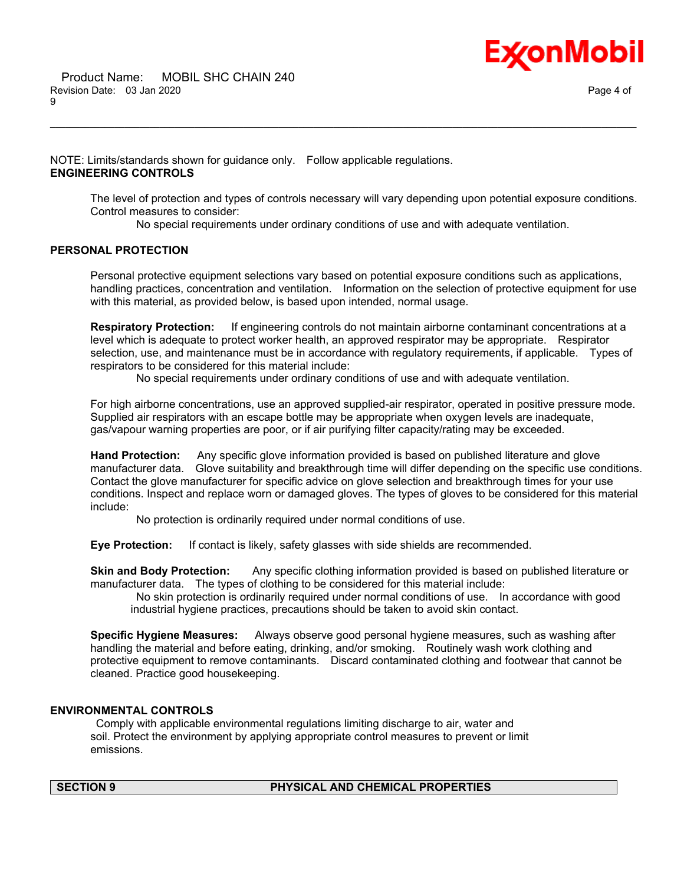

NOTE: Limits/standards shown for guidance only. Follow applicable regulations. **ENGINEERING CONTROLS**

The level of protection and types of controls necessary will vary depending upon potential exposure conditions. Control measures to consider:

No special requirements under ordinary conditions of use and with adequate ventilation.

\_\_\_\_\_\_\_\_\_\_\_\_\_\_\_\_\_\_\_\_\_\_\_\_\_\_\_\_\_\_\_\_\_\_\_\_\_\_\_\_\_\_\_\_\_\_\_\_\_\_\_\_\_\_\_\_\_\_\_\_\_\_\_\_\_\_\_\_\_\_\_\_\_\_\_\_\_\_\_\_\_\_\_\_\_\_\_\_\_\_\_\_\_\_\_\_\_\_\_\_\_\_\_\_\_\_\_\_\_\_\_\_\_\_\_\_\_\_

# **PERSONAL PROTECTION**

Personal protective equipment selections vary based on potential exposure conditions such as applications, handling practices, concentration and ventilation. Information on the selection of protective equipment for use with this material, as provided below, is based upon intended, normal usage.

**Respiratory Protection:** If engineering controls do not maintain airborne contaminant concentrations at a level which is adequate to protect worker health, an approved respirator may be appropriate. Respirator selection, use, and maintenance must be in accordance with regulatory requirements, if applicable. Types of respirators to be considered for this material include:

No special requirements under ordinary conditions of use and with adequate ventilation.

For high airborne concentrations, use an approved supplied-air respirator, operated in positive pressure mode. Supplied air respirators with an escape bottle may be appropriate when oxygen levels are inadequate, gas/vapour warning properties are poor, or if air purifying filter capacity/rating may be exceeded.

**Hand Protection:** Any specific glove information provided is based on published literature and glove manufacturer data. Glove suitability and breakthrough time will differ depending on the specific use conditions. Contact the glove manufacturer for specific advice on glove selection and breakthrough times for your use conditions. Inspect and replace worn or damaged gloves. The types of gloves to be considered for this material include:

No protection is ordinarily required under normal conditions of use.

**Eye Protection:** If contact is likely, safety glasses with side shields are recommended.

**Skin and Body Protection:** Any specific clothing information provided is based on published literature or manufacturer data. The types of clothing to be considered for this material include:

 No skin protection is ordinarily required under normal conditions of use. In accordance with good industrial hygiene practices, precautions should be taken to avoid skin contact.

**Specific Hygiene Measures:** Always observe good personal hygiene measures, such as washing after handling the material and before eating, drinking, and/or smoking. Routinely wash work clothing and protective equipment to remove contaminants. Discard contaminated clothing and footwear that cannot be cleaned. Practice good housekeeping.

# **ENVIRONMENTAL CONTROLS**

 Comply with applicable environmental regulations limiting discharge to air, water and soil. Protect the environment by applying appropriate control measures to prevent or limit emissions.

### **SECTION 9 PHYSICAL AND CHEMICAL PROPERTIES**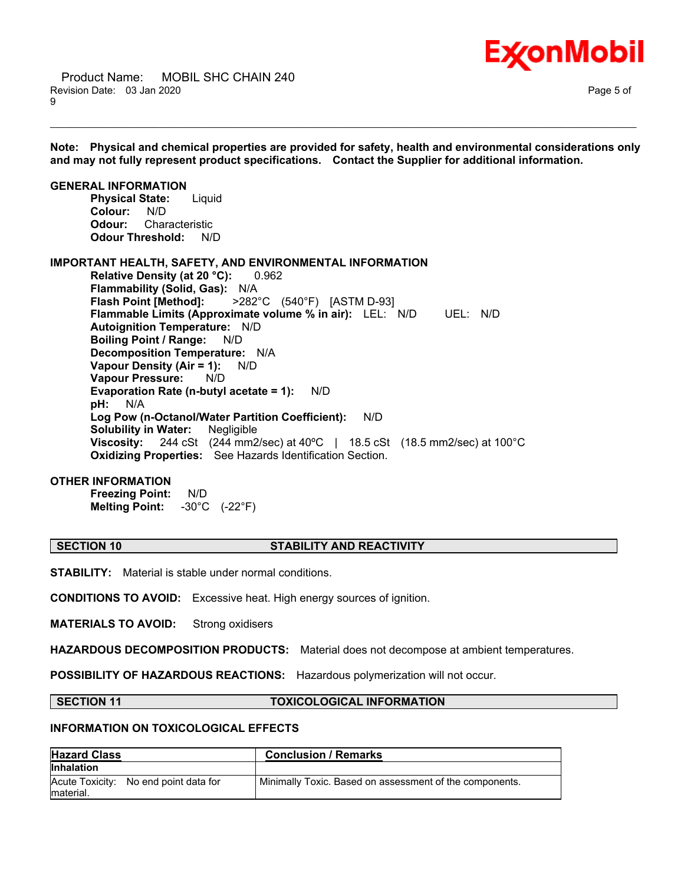

**Note: Physical and chemical properties are provided for safety, health and environmental considerations only and may not fully represent product specifications. Contact the Supplier for additional information.**

\_\_\_\_\_\_\_\_\_\_\_\_\_\_\_\_\_\_\_\_\_\_\_\_\_\_\_\_\_\_\_\_\_\_\_\_\_\_\_\_\_\_\_\_\_\_\_\_\_\_\_\_\_\_\_\_\_\_\_\_\_\_\_\_\_\_\_\_\_\_\_\_\_\_\_\_\_\_\_\_\_\_\_\_\_\_\_\_\_\_\_\_\_\_\_\_\_\_\_\_\_\_\_\_\_\_\_\_\_\_\_\_\_\_\_\_\_\_

**GENERAL INFORMATION Physical State:** Liquid **Colour:** N/D **Odour:** Characteristic **Odour Threshold:** N/D **IMPORTANT HEALTH, SAFETY, AND ENVIRONMENTAL INFORMATION Relative Density (at 20 °C):** 0.962

**Flammability (Solid, Gas):** N/A **Flash Point [Method]:** >282°C (540°F) [ASTM D-93] **Flammable Limits (Approximate volume % in air):** LEL: N/D UEL: N/D **Autoignition Temperature:** N/D **Boiling Point / Range:** N/D **Decomposition Temperature:** N/A **Vapour Density (Air = 1):** N/D **Vapour Pressure:** N/D **Evaporation Rate (n-butyl acetate = 1):** N/D **pH:** N/A **Log Pow (n-Octanol/Water Partition Coefficient):** N/D **Solubility in Water:** Negligible **Viscosity:** 244 cSt (244 mm2/sec) at 40ºC | 18.5 cSt (18.5 mm2/sec) at 100°C **Oxidizing Properties:** See Hazards Identification Section.

#### **OTHER INFORMATION**

**Freezing Point:** N/D **Melting Point:** -30°C (-22°F)

# **SECTION 10 STABILITY AND REACTIVITY**

**STABILITY:** Material is stable under normal conditions.

**CONDITIONS TO AVOID:** Excessive heat. High energy sources of ignition.

**MATERIALS TO AVOID:** Strong oxidisers

**HAZARDOUS DECOMPOSITION PRODUCTS:** Material does not decompose at ambient temperatures.

**POSSIBILITY OF HAZARDOUS REACTIONS:** Hazardous polymerization will not occur.

### **SECTION 11 TOXICOLOGICAL INFORMATION**

### **INFORMATION ON TOXICOLOGICAL EFFECTS**

| <b>Hazard Class</b>                                | <b>Conclusion / Remarks</b>                             |
|----------------------------------------------------|---------------------------------------------------------|
| <b>Inhalation</b>                                  |                                                         |
| Acute Toxicity: No end point data for<br>material. | Minimally Toxic. Based on assessment of the components. |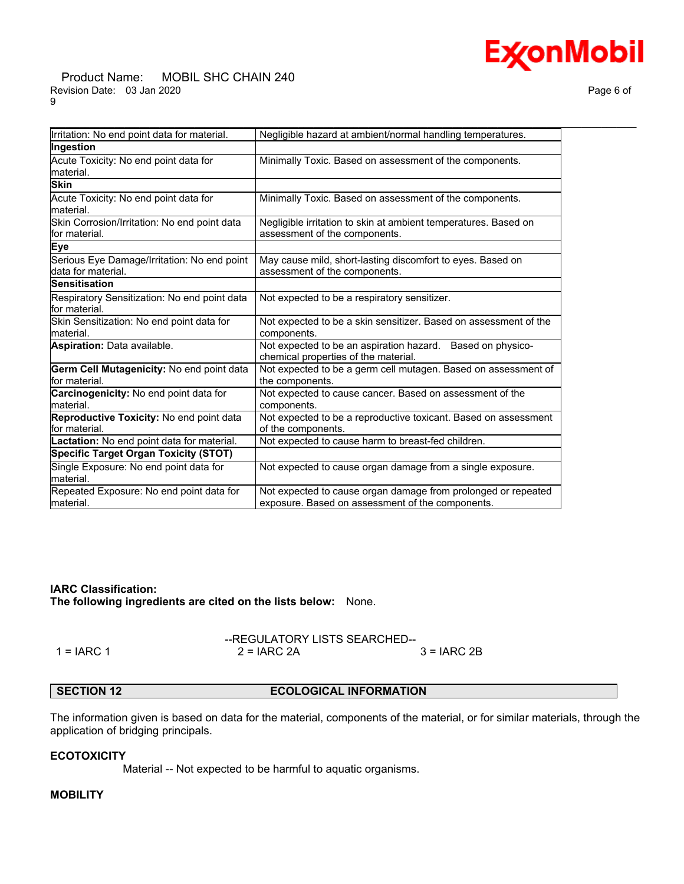#### Product Name: MOBIL SHC CHAIN 240 Revision Date: 03 Jan 2020 **Page 6 of** Page 6 of 9

| Irritation: No end point data for material.                       | Negligible hazard at ambient/normal handling temperatures.                                                        |
|-------------------------------------------------------------------|-------------------------------------------------------------------------------------------------------------------|
| Ingestion                                                         |                                                                                                                   |
| Acute Toxicity: No end point data for<br>lmaterial.               | Minimally Toxic. Based on assessment of the components.                                                           |
| <b>Skin</b>                                                       |                                                                                                                   |
| Acute Toxicity: No end point data for<br>lmaterial.               | Minimally Toxic. Based on assessment of the components.                                                           |
| Skin Corrosion/Irritation: No end point data<br>lfor material.    | Negligible irritation to skin at ambient temperatures. Based on<br>assessment of the components.                  |
| Eye                                                               |                                                                                                                   |
| Serious Eye Damage/Irritation: No end point<br>data for material. | May cause mild, short-lasting discomfort to eyes. Based on<br>assessment of the components.                       |
| Sensitisation                                                     |                                                                                                                   |
| Respiratory Sensitization: No end point data<br>for material.     | Not expected to be a respiratory sensitizer.                                                                      |
| Skin Sensitization: No end point data for<br>lmaterial.           | Not expected to be a skin sensitizer. Based on assessment of the<br>components.                                   |
| <b>Aspiration: Data available.</b>                                | Not expected to be an aspiration hazard. Based on physico-<br>chemical properties of the material.                |
| Germ Cell Mutagenicity: No end point data<br>lfor material.       | Not expected to be a germ cell mutagen. Based on assessment of<br>the components.                                 |
| Carcinogenicity: No end point data for<br>Imaterial.              | Not expected to cause cancer. Based on assessment of the<br>components.                                           |
| Reproductive Toxicity: No end point data<br>lfor material.        | Not expected to be a reproductive toxicant. Based on assessment<br>of the components.                             |
| Lactation: No end point data for material.                        | Not expected to cause harm to breast-fed children.                                                                |
| <b>Specific Target Organ Toxicity (STOT)</b>                      |                                                                                                                   |
| Single Exposure: No end point data for<br>lmaterial.              | Not expected to cause organ damage from a single exposure.                                                        |
| Repeated Exposure: No end point data for<br>material.             | Not expected to cause organ damage from prolonged or repeated<br>exposure. Based on assessment of the components. |

# **IARC Classification:**

**The following ingredients are cited on the lists below:** None.

--REGULATORY LISTS SEARCHED-- 1 = IARC 1 2 = IARC 2A 3 = IARC 2B

### **SECTION 12 ECOLOGICAL INFORMATION**

The information given is based on data for the material, components of the material, or for similar materials, through the application of bridging principals.

#### **ECOTOXICITY**

Material -- Not expected to be harmful to aquatic organisms.

# **MOBILITY**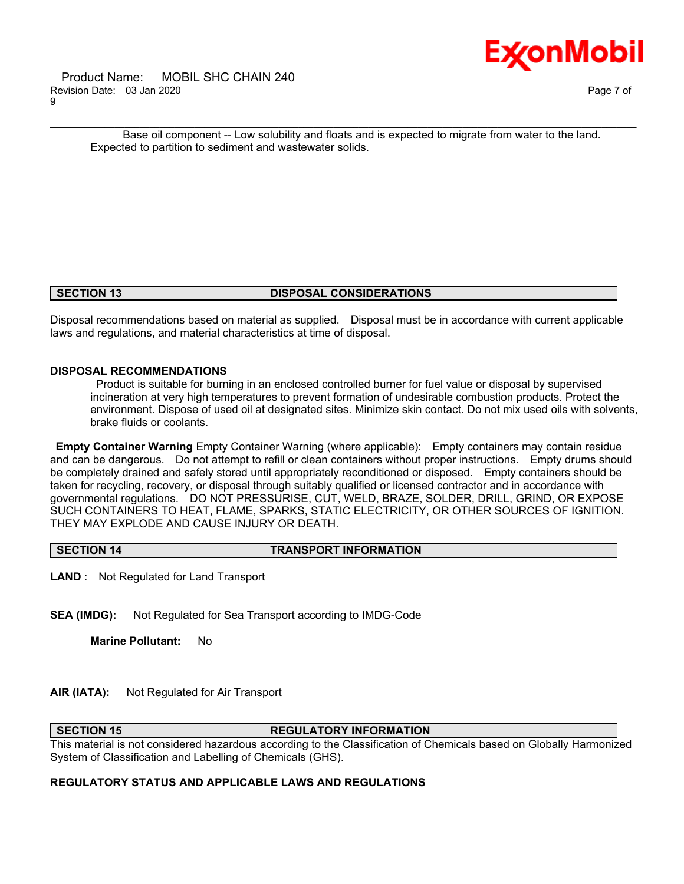

\_\_\_\_\_\_\_\_\_\_\_\_\_\_\_\_\_\_\_\_\_\_\_\_\_\_\_\_\_\_\_\_\_\_\_\_\_\_\_\_\_\_\_\_\_\_\_\_\_\_\_\_\_\_\_\_\_\_\_\_\_\_\_\_\_\_\_\_\_\_\_\_\_\_\_\_\_\_\_\_\_\_\_\_\_\_\_\_\_\_\_\_\_\_\_\_\_\_\_\_\_\_\_\_\_\_\_\_\_\_\_\_\_\_\_\_\_\_ Base oil component -- Low solubility and floats and is expected to migrate from water to the land. Expected to partition to sediment and wastewater solids.

### **SECTION 13 DISPOSAL CONSIDERATIONS**

Disposal recommendations based on material as supplied. Disposal must be in accordance with current applicable laws and regulations, and material characteristics at time of disposal.

# **DISPOSAL RECOMMENDATIONS**

 Product is suitable for burning in an enclosed controlled burner for fuel value or disposal by supervised incineration at very high temperatures to prevent formation of undesirable combustion products. Protect the environment. Dispose of used oil at designated sites. Minimize skin contact. Do not mix used oils with solvents, brake fluids or coolants.

**Empty Container Warning** Empty Container Warning (where applicable): Empty containers may contain residue and can be dangerous. Do not attempt to refill or clean containers without proper instructions. Empty drums should be completely drained and safely stored until appropriately reconditioned or disposed. Empty containers should be taken for recycling, recovery, or disposal through suitably qualified or licensed contractor and in accordance with governmental regulations. DO NOT PRESSURISE, CUT, WELD, BRAZE, SOLDER, DRILL, GRIND, OR EXPOSE SUCH CONTAINERS TO HEAT, FLAME, SPARKS, STATIC ELECTRICITY, OR OTHER SOURCES OF IGNITION. THEY MAY EXPLODE AND CAUSE INJURY OR DEATH.

**SECTION 14 TRANSPORT INFORMATION**

**LAND** : Not Regulated for Land Transport

**SEA (IMDG):** Not Regulated for Sea Transport according to IMDG-Code

**Marine Pollutant:** No

**AIR (IATA):** Not Regulated for Air Transport

### **SECTION 15 REGULATORY INFORMATION**

This material is not considered hazardous according to the Classification of Chemicals based on Globally Harmonized System of Classification and Labelling of Chemicals (GHS).

# **REGULATORY STATUS AND APPLICABLE LAWS AND REGULATIONS**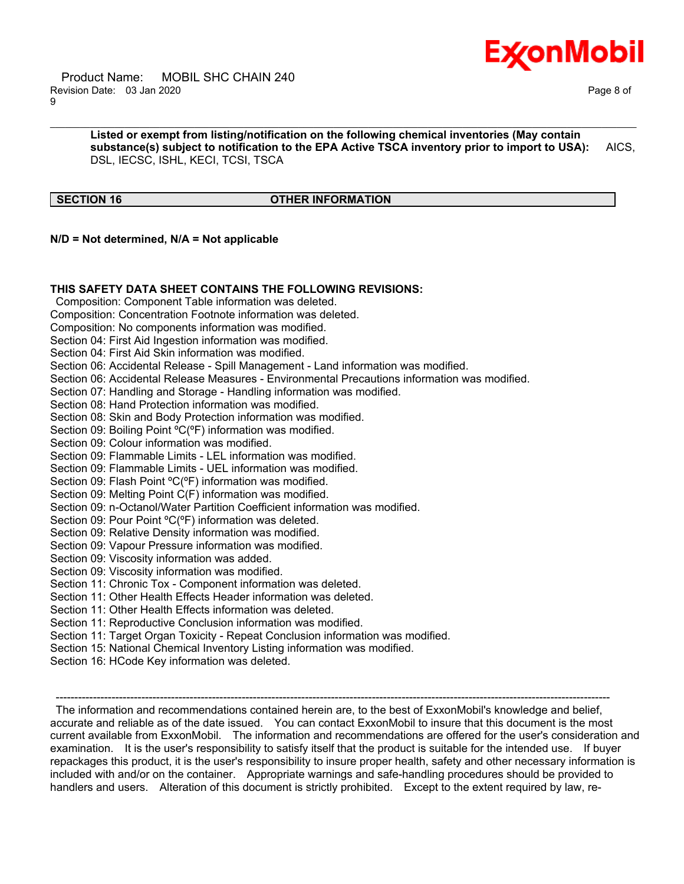

 Product Name: MOBIL SHC CHAIN 240 Revision Date: 03 Jan 2020 Page 8 of 9

**Listed or exempt from listing/notification on the following chemical inventories (May contain substance(s) subject to notification to the EPA Active TSCA inventory prior to import to USA):** AICS, DSL, IECSC, ISHL, KECI, TCSI, TSCA

\_\_\_\_\_\_\_\_\_\_\_\_\_\_\_\_\_\_\_\_\_\_\_\_\_\_\_\_\_\_\_\_\_\_\_\_\_\_\_\_\_\_\_\_\_\_\_\_\_\_\_\_\_\_\_\_\_\_\_\_\_\_\_\_\_\_\_\_\_\_\_\_\_\_\_\_\_\_\_\_\_\_\_\_\_\_\_\_\_\_\_\_\_\_\_\_\_\_\_\_\_\_\_\_\_\_\_\_\_\_\_\_\_\_\_\_\_\_

### **SECTION 16 OTHER INFORMATION**

**N/D = Not determined, N/A = Not applicable**

# **THIS SAFETY DATA SHEET CONTAINS THE FOLLOWING REVISIONS:**

Composition: Component Table information was deleted.

Composition: Concentration Footnote information was deleted.

Composition: No components information was modified.

Section 04: First Aid Ingestion information was modified.

Section 04: First Aid Skin information was modified.

Section 06: Accidental Release - Spill Management - Land information was modified.

Section 06: Accidental Release Measures - Environmental Precautions information was modified.

Section 07: Handling and Storage - Handling information was modified.

Section 08: Hand Protection information was modified.

Section 08: Skin and Body Protection information was modified.

Section 09: Boiling Point <sup>o</sup>C(<sup>o</sup>F) information was modified.

Section 09: Colour information was modified.

Section 09: Flammable Limits - LEL information was modified.

Section 09: Flammable Limits - UEL information was modified.

Section 09: Flash Point ºC(ºF) information was modified.

Section 09: Melting Point C(F) information was modified.

Section 09: n-Octanol/Water Partition Coefficient information was modified.

Section 09: Pour Point ºC(ºF) information was deleted.

Section 09: Relative Density information was modified.

Section 09: Vapour Pressure information was modified.

Section 09: Viscosity information was added.

Section 09: Viscosity information was modified.

Section 11: Chronic Tox - Component information was deleted.

Section 11: Other Health Effects Header information was deleted.

Section 11: Other Health Effects information was deleted.

Section 11: Reproductive Conclusion information was modified.

Section 11: Target Organ Toxicity - Repeat Conclusion information was modified.

Section 15: National Chemical Inventory Listing information was modified.

Section 16: HCode Key information was deleted.

-----------------------------------------------------------------------------------------------------------------------------------------------------

 The information and recommendations contained herein are, to the best of ExxonMobil's knowledge and belief, accurate and reliable as of the date issued. You can contact ExxonMobil to insure that this document is the most current available from ExxonMobil. The information and recommendations are offered for the user's consideration and examination. It is the user's responsibility to satisfy itself that the product is suitable for the intended use. If buyer repackages this product, it is the user's responsibility to insure proper health, safety and other necessary information is included with and/or on the container. Appropriate warnings and safe-handling procedures should be provided to handlers and users. Alteration of this document is strictly prohibited. Except to the extent required by law, re-